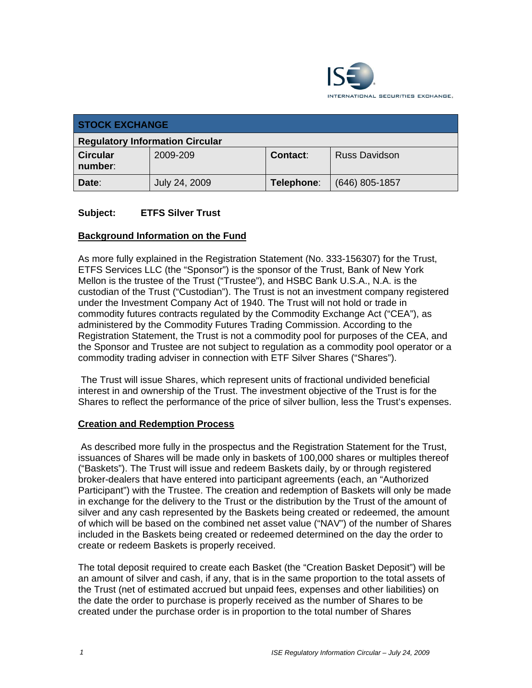

| <b>STOCK EXCHANGE</b>                  |               |            |                  |  |  |
|----------------------------------------|---------------|------------|------------------|--|--|
| <b>Regulatory Information Circular</b> |               |            |                  |  |  |
| <b>Circular</b><br>number:             | 2009-209      | Contact:   | Russ Davidson    |  |  |
| Date:                                  | July 24, 2009 | Telephone: | $(646)$ 805-1857 |  |  |

# **Subject: ETFS Silver Trust**

# **Background Information on the Fund**

As more fully explained in the Registration Statement (No. 333-156307) for the Trust, ETFS Services LLC (the "Sponsor") is the sponsor of the Trust, Bank of New York Mellon is the trustee of the Trust ("Trustee"), and HSBC Bank U.S.A., N.A. is the custodian of the Trust ("Custodian"). The Trust is not an investment company registered under the Investment Company Act of 1940. The Trust will not hold or trade in commodity futures contracts regulated by the Commodity Exchange Act ("CEA"), as administered by the Commodity Futures Trading Commission. According to the Registration Statement, the Trust is not a commodity pool for purposes of the CEA, and the Sponsor and Trustee are not subject to regulation as a commodity pool operator or a commodity trading adviser in connection with ETF Silver Shares ("Shares").

 The Trust will issue Shares, which represent units of fractional undivided beneficial interest in and ownership of the Trust. The investment objective of the Trust is for the Shares to reflect the performance of the price of silver bullion, less the Trust's expenses.

#### **Creation and Redemption Process**

 As described more fully in the prospectus and the Registration Statement for the Trust, issuances of Shares will be made only in baskets of 100,000 shares or multiples thereof ("Baskets"). The Trust will issue and redeem Baskets daily, by or through registered broker-dealers that have entered into participant agreements (each, an "Authorized Participant") with the Trustee. The creation and redemption of Baskets will only be made in exchange for the delivery to the Trust or the distribution by the Trust of the amount of silver and any cash represented by the Baskets being created or redeemed, the amount of which will be based on the combined net asset value ("NAV") of the number of Shares included in the Baskets being created or redeemed determined on the day the order to create or redeem Baskets is properly received.

The total deposit required to create each Basket (the "Creation Basket Deposit") will be an amount of silver and cash, if any, that is in the same proportion to the total assets of the Trust (net of estimated accrued but unpaid fees, expenses and other liabilities) on the date the order to purchase is properly received as the number of Shares to be created under the purchase order is in proportion to the total number of Shares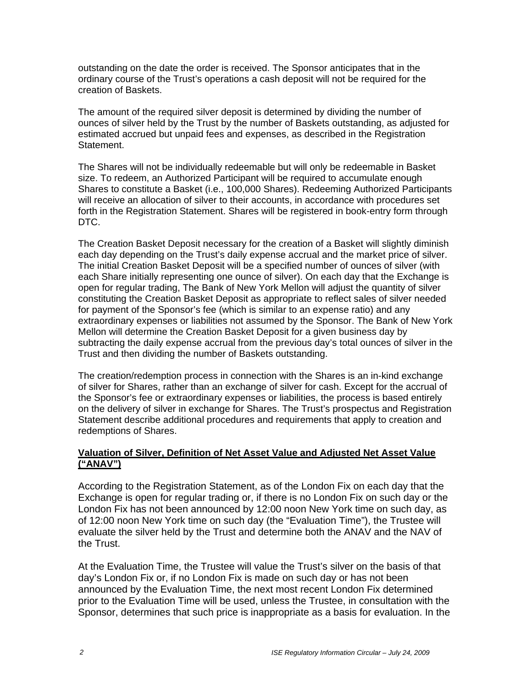outstanding on the date the order is received. The Sponsor anticipates that in the ordinary course of the Trust's operations a cash deposit will not be required for the creation of Baskets.

The amount of the required silver deposit is determined by dividing the number of ounces of silver held by the Trust by the number of Baskets outstanding, as adjusted for estimated accrued but unpaid fees and expenses, as described in the Registration Statement.

The Shares will not be individually redeemable but will only be redeemable in Basket size. To redeem, an Authorized Participant will be required to accumulate enough Shares to constitute a Basket (i.e., 100,000 Shares). Redeeming Authorized Participants will receive an allocation of silver to their accounts, in accordance with procedures set forth in the Registration Statement. Shares will be registered in book-entry form through DTC.

The Creation Basket Deposit necessary for the creation of a Basket will slightly diminish each day depending on the Trust's daily expense accrual and the market price of silver. The initial Creation Basket Deposit will be a specified number of ounces of silver (with each Share initially representing one ounce of silver). On each day that the Exchange is open for regular trading, The Bank of New York Mellon will adjust the quantity of silver constituting the Creation Basket Deposit as appropriate to reflect sales of silver needed for payment of the Sponsor's fee (which is similar to an expense ratio) and any extraordinary expenses or liabilities not assumed by the Sponsor. The Bank of New York Mellon will determine the Creation Basket Deposit for a given business day by subtracting the daily expense accrual from the previous day's total ounces of silver in the Trust and then dividing the number of Baskets outstanding.

The creation/redemption process in connection with the Shares is an in-kind exchange of silver for Shares, rather than an exchange of silver for cash. Except for the accrual of the Sponsor's fee or extraordinary expenses or liabilities, the process is based entirely on the delivery of silver in exchange for Shares. The Trust's prospectus and Registration Statement describe additional procedures and requirements that apply to creation and redemptions of Shares.

# **Valuation of Silver, Definition of Net Asset Value and Adjusted Net Asset Value ("ANAV")**

According to the Registration Statement, as of the London Fix on each day that the Exchange is open for regular trading or, if there is no London Fix on such day or the London Fix has not been announced by 12:00 noon New York time on such day, as of 12:00 noon New York time on such day (the "Evaluation Time"), the Trustee will evaluate the silver held by the Trust and determine both the ANAV and the NAV of the Trust.

At the Evaluation Time, the Trustee will value the Trust's silver on the basis of that day's London Fix or, if no London Fix is made on such day or has not been announced by the Evaluation Time, the next most recent London Fix determined prior to the Evaluation Time will be used, unless the Trustee, in consultation with the Sponsor, determines that such price is inappropriate as a basis for evaluation. In the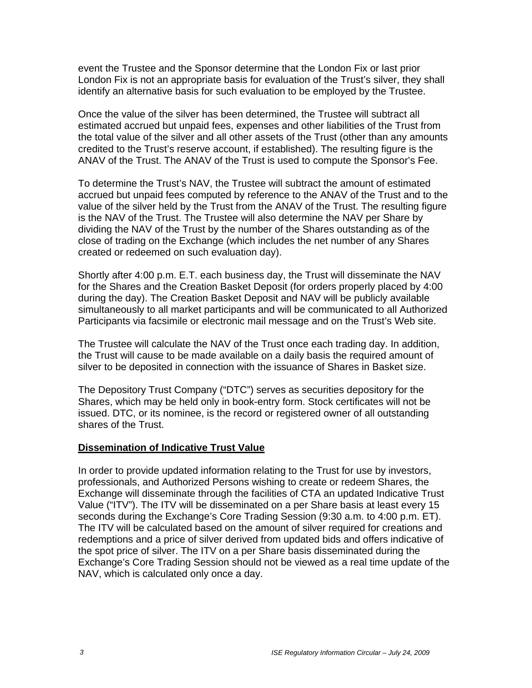event the Trustee and the Sponsor determine that the London Fix or last prior London Fix is not an appropriate basis for evaluation of the Trust's silver, they shall identify an alternative basis for such evaluation to be employed by the Trustee.

Once the value of the silver has been determined, the Trustee will subtract all estimated accrued but unpaid fees, expenses and other liabilities of the Trust from the total value of the silver and all other assets of the Trust (other than any amounts credited to the Trust's reserve account, if established). The resulting figure is the ANAV of the Trust. The ANAV of the Trust is used to compute the Sponsor's Fee.

To determine the Trust's NAV, the Trustee will subtract the amount of estimated accrued but unpaid fees computed by reference to the ANAV of the Trust and to the value of the silver held by the Trust from the ANAV of the Trust. The resulting figure is the NAV of the Trust. The Trustee will also determine the NAV per Share by dividing the NAV of the Trust by the number of the Shares outstanding as of the close of trading on the Exchange (which includes the net number of any Shares created or redeemed on such evaluation day).

Shortly after 4:00 p.m. E.T. each business day, the Trust will disseminate the NAV for the Shares and the Creation Basket Deposit (for orders properly placed by 4:00 during the day). The Creation Basket Deposit and NAV will be publicly available simultaneously to all market participants and will be communicated to all Authorized Participants via facsimile or electronic mail message and on the Trust's Web site.

The Trustee will calculate the NAV of the Trust once each trading day. In addition, the Trust will cause to be made available on a daily basis the required amount of silver to be deposited in connection with the issuance of Shares in Basket size.

The Depository Trust Company ("DTC") serves as securities depository for the Shares, which may be held only in book-entry form. Stock certificates will not be issued. DTC, or its nominee, is the record or registered owner of all outstanding shares of the Trust.

# **Dissemination of Indicative Trust Value**

In order to provide updated information relating to the Trust for use by investors, professionals, and Authorized Persons wishing to create or redeem Shares, the Exchange will disseminate through the facilities of CTA an updated Indicative Trust Value ("ITV"). The ITV will be disseminated on a per Share basis at least every 15 seconds during the Exchange's Core Trading Session (9:30 a.m. to 4:00 p.m. ET). The ITV will be calculated based on the amount of silver required for creations and redemptions and a price of silver derived from updated bids and offers indicative of the spot price of silver. The ITV on a per Share basis disseminated during the Exchange's Core Trading Session should not be viewed as a real time update of the NAV, which is calculated only once a day.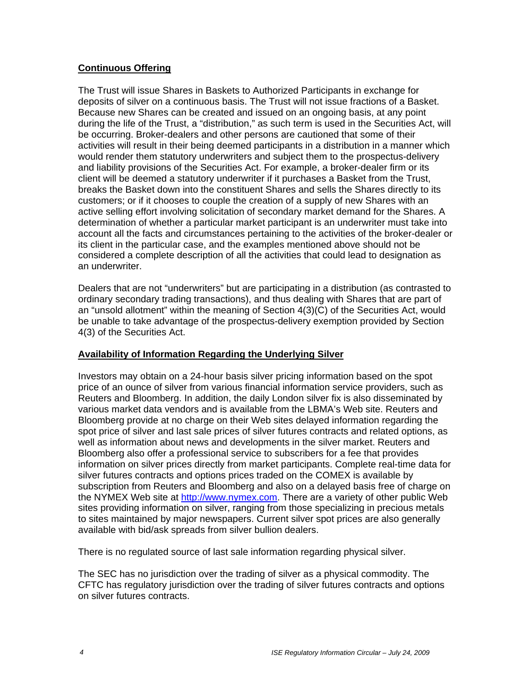# **Continuous Offering**

The Trust will issue Shares in Baskets to Authorized Participants in exchange for deposits of silver on a continuous basis. The Trust will not issue fractions of a Basket. Because new Shares can be created and issued on an ongoing basis, at any point during the life of the Trust, a "distribution," as such term is used in the Securities Act, will be occurring. Broker-dealers and other persons are cautioned that some of their activities will result in their being deemed participants in a distribution in a manner which would render them statutory underwriters and subject them to the prospectus-delivery and liability provisions of the Securities Act. For example, a broker-dealer firm or its client will be deemed a statutory underwriter if it purchases a Basket from the Trust, breaks the Basket down into the constituent Shares and sells the Shares directly to its customers; or if it chooses to couple the creation of a supply of new Shares with an active selling effort involving solicitation of secondary market demand for the Shares. A determination of whether a particular market participant is an underwriter must take into account all the facts and circumstances pertaining to the activities of the broker-dealer or its client in the particular case, and the examples mentioned above should not be considered a complete description of all the activities that could lead to designation as an underwriter.

Dealers that are not "underwriters" but are participating in a distribution (as contrasted to ordinary secondary trading transactions), and thus dealing with Shares that are part of an "unsold allotment" within the meaning of Section 4(3)(C) of the Securities Act, would be unable to take advantage of the prospectus-delivery exemption provided by Section 4(3) of the Securities Act.

# **Availability of Information Regarding the Underlying Silver**

Investors may obtain on a 24-hour basis silver pricing information based on the spot price of an ounce of silver from various financial information service providers, such as Reuters and Bloomberg. In addition, the daily London silver fix is also disseminated by various market data vendors and is available from the LBMA's Web site. Reuters and Bloomberg provide at no charge on their Web sites delayed information regarding the spot price of silver and last sale prices of silver futures contracts and related options, as well as information about news and developments in the silver market. Reuters and Bloomberg also offer a professional service to subscribers for a fee that provides information on silver prices directly from market participants. Complete real-time data for silver futures contracts and options prices traded on the COMEX is available by subscription from Reuters and Bloomberg and also on a delayed basis free of charge on the NYMEX Web site at http://www.nymex.com. There are a variety of other public Web sites providing information on silver, ranging from those specializing in precious metals to sites maintained by major newspapers. Current silver spot prices are also generally available with bid/ask spreads from silver bullion dealers.

There is no regulated source of last sale information regarding physical silver.

The SEC has no jurisdiction over the trading of silver as a physical commodity. The CFTC has regulatory jurisdiction over the trading of silver futures contracts and options on silver futures contracts.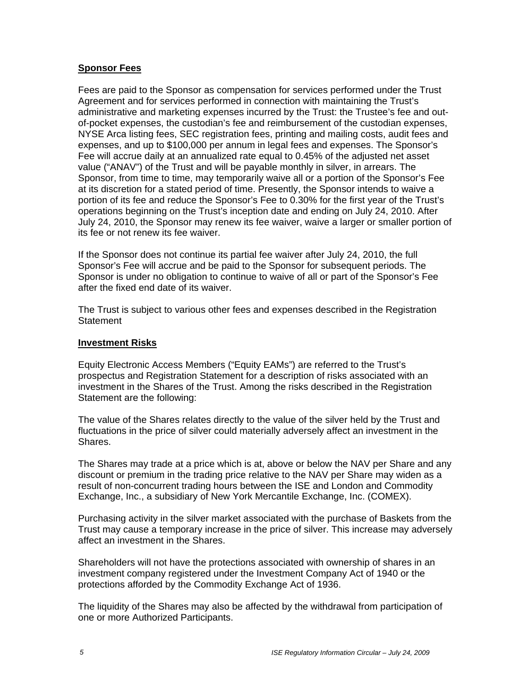### **Sponsor Fees**

Fees are paid to the Sponsor as compensation for services performed under the Trust Agreement and for services performed in connection with maintaining the Trust's administrative and marketing expenses incurred by the Trust: the Trustee's fee and outof-pocket expenses, the custodian's fee and reimbursement of the custodian expenses, NYSE Arca listing fees, SEC registration fees, printing and mailing costs, audit fees and expenses, and up to \$100,000 per annum in legal fees and expenses. The Sponsor's Fee will accrue daily at an annualized rate equal to 0.45% of the adjusted net asset value ("ANAV") of the Trust and will be payable monthly in silver, in arrears. The Sponsor, from time to time, may temporarily waive all or a portion of the Sponsor's Fee at its discretion for a stated period of time. Presently, the Sponsor intends to waive a portion of its fee and reduce the Sponsor's Fee to 0.30% for the first year of the Trust's operations beginning on the Trust's inception date and ending on July 24, 2010. After July 24, 2010, the Sponsor may renew its fee waiver, waive a larger or smaller portion of its fee or not renew its fee waiver.

If the Sponsor does not continue its partial fee waiver after July 24, 2010, the full Sponsor's Fee will accrue and be paid to the Sponsor for subsequent periods. The Sponsor is under no obligation to continue to waive of all or part of the Sponsor's Fee after the fixed end date of its waiver.

The Trust is subject to various other fees and expenses described in the Registration **Statement** 

### **Investment Risks**

Equity Electronic Access Members ("Equity EAMs") are referred to the Trust's prospectus and Registration Statement for a description of risks associated with an investment in the Shares of the Trust. Among the risks described in the Registration Statement are the following:

The value of the Shares relates directly to the value of the silver held by the Trust and fluctuations in the price of silver could materially adversely affect an investment in the Shares.

The Shares may trade at a price which is at, above or below the NAV per Share and any discount or premium in the trading price relative to the NAV per Share may widen as a result of non-concurrent trading hours between the ISE and London and Commodity Exchange, Inc., a subsidiary of New York Mercantile Exchange, Inc. (COMEX).

Purchasing activity in the silver market associated with the purchase of Baskets from the Trust may cause a temporary increase in the price of silver. This increase may adversely affect an investment in the Shares.

Shareholders will not have the protections associated with ownership of shares in an investment company registered under the Investment Company Act of 1940 or the protections afforded by the Commodity Exchange Act of 1936.

The liquidity of the Shares may also be affected by the withdrawal from participation of one or more Authorized Participants.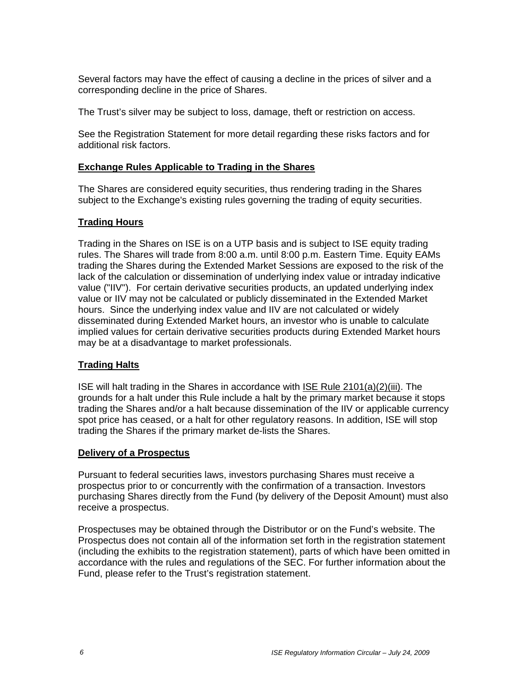Several factors may have the effect of causing a decline in the prices of silver and a corresponding decline in the price of Shares.

The Trust's silver may be subject to loss, damage, theft or restriction on access.

See the Registration Statement for more detail regarding these risks factors and for additional risk factors.

### **Exchange Rules Applicable to Trading in the Shares**

The Shares are considered equity securities, thus rendering trading in the Shares subject to the Exchange's existing rules governing the trading of equity securities.

### **Trading Hours**

Trading in the Shares on ISE is on a UTP basis and is subject to ISE equity trading rules. The Shares will trade from 8:00 a.m. until 8:00 p.m. Eastern Time. Equity EAMs trading the Shares during the Extended Market Sessions are exposed to the risk of the lack of the calculation or dissemination of underlying index value or intraday indicative value ("IIV"). For certain derivative securities products, an updated underlying index value or IIV may not be calculated or publicly disseminated in the Extended Market hours. Since the underlying index value and IIV are not calculated or widely disseminated during Extended Market hours, an investor who is unable to calculate implied values for certain derivative securities products during Extended Market hours may be at a disadvantage to market professionals.

# **Trading Halts**

ISE will halt trading in the Shares in accordance with ISE Rule 2101(a)(2)(iii). The grounds for a halt under this Rule include a halt by the primary market because it stops trading the Shares and/or a halt because dissemination of the IIV or applicable currency spot price has ceased, or a halt for other regulatory reasons. In addition, ISE will stop trading the Shares if the primary market de-lists the Shares.

#### **Delivery of a Prospectus**

Pursuant to federal securities laws, investors purchasing Shares must receive a prospectus prior to or concurrently with the confirmation of a transaction. Investors purchasing Shares directly from the Fund (by delivery of the Deposit Amount) must also receive a prospectus.

Prospectuses may be obtained through the Distributor or on the Fund's website. The Prospectus does not contain all of the information set forth in the registration statement (including the exhibits to the registration statement), parts of which have been omitted in accordance with the rules and regulations of the SEC. For further information about the Fund, please refer to the Trust's registration statement.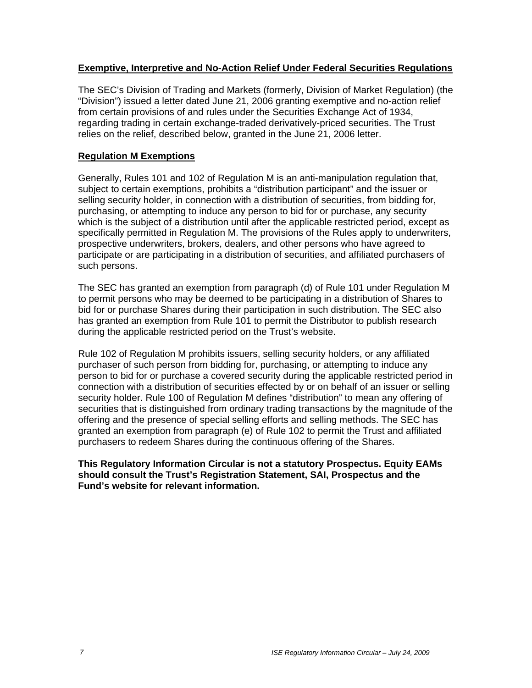### **Exemptive, Interpretive and No-Action Relief Under Federal Securities Regulations**

The SEC's Division of Trading and Markets (formerly, Division of Market Regulation) (the "Division") issued a letter dated June 21, 2006 granting exemptive and no-action relief from certain provisions of and rules under the Securities Exchange Act of 1934, regarding trading in certain exchange-traded derivatively-priced securities. The Trust relies on the relief, described below, granted in the June 21, 2006 letter.

### **Regulation M Exemptions**

Generally, Rules 101 and 102 of Regulation M is an anti-manipulation regulation that, subject to certain exemptions, prohibits a "distribution participant" and the issuer or selling security holder, in connection with a distribution of securities, from bidding for, purchasing, or attempting to induce any person to bid for or purchase, any security which is the subject of a distribution until after the applicable restricted period, except as specifically permitted in Regulation M. The provisions of the Rules apply to underwriters, prospective underwriters, brokers, dealers, and other persons who have agreed to participate or are participating in a distribution of securities, and affiliated purchasers of such persons.

The SEC has granted an exemption from paragraph (d) of Rule 101 under Regulation M to permit persons who may be deemed to be participating in a distribution of Shares to bid for or purchase Shares during their participation in such distribution. The SEC also has granted an exemption from Rule 101 to permit the Distributor to publish research during the applicable restricted period on the Trust's website.

Rule 102 of Regulation M prohibits issuers, selling security holders, or any affiliated purchaser of such person from bidding for, purchasing, or attempting to induce any person to bid for or purchase a covered security during the applicable restricted period in connection with a distribution of securities effected by or on behalf of an issuer or selling security holder. Rule 100 of Regulation M defines "distribution" to mean any offering of securities that is distinguished from ordinary trading transactions by the magnitude of the offering and the presence of special selling efforts and selling methods. The SEC has granted an exemption from paragraph (e) of Rule 102 to permit the Trust and affiliated purchasers to redeem Shares during the continuous offering of the Shares.

**This Regulatory Information Circular is not a statutory Prospectus. Equity EAMs should consult the Trust's Registration Statement, SAI, Prospectus and the Fund's website for relevant information.**